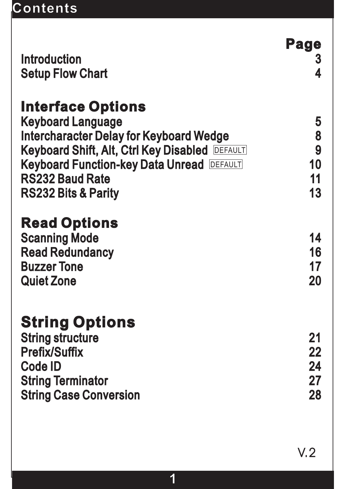# **Contents**

|                                                                                                                                                         | Page                       |
|---------------------------------------------------------------------------------------------------------------------------------------------------------|----------------------------|
| <b>Introduction</b>                                                                                                                                     | 3                          |
| <b>Setup Flow Chart</b>                                                                                                                                 |                            |
| <b>Interface Options</b><br><b>Keyboard Language</b><br><b>Intercharacter Delay for Keyboard Wedge</b>                                                  | 5<br>8                     |
| <b>Keyboard Shift, Alt, Ctrl Key Disabled DEFAULT</b>                                                                                                   | 9                          |
| <b>Keyboard Function-key Data Unread DEFAULT</b>                                                                                                        | 10                         |
| <b>RS232 Baud Rate</b>                                                                                                                                  | 11                         |
| <b>RS232 Bits &amp; Parity</b>                                                                                                                          | 13                         |
| <b>Read Options</b><br><b>Scanning Mode</b><br><b>Read Redundancy</b><br><b>Buzzer Tone</b><br><b>Quiet Zone</b>                                        | 14<br>16<br>17<br>20       |
| <b>String Options</b><br><b>String structure</b><br><b>Prefix/Suffix</b><br><b>Code ID</b><br><b>String Terminator</b><br><b>String Case Conversion</b> | 21<br>22<br>24<br>27<br>28 |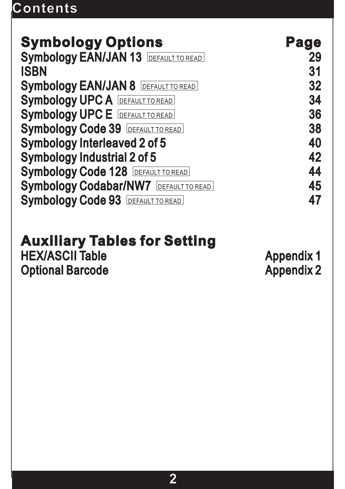# **Contents**

| <b>Symbology Options</b>                     | Page |
|----------------------------------------------|------|
| <b>Symbology EAN/JAN 13 DEFAULT TO READ</b>  | 29   |
| <b>ISBN</b>                                  | 31   |
| <b>Symbology EAN/JAN 8 DEFAULT TO READ</b>   | 32   |
| <b>Symbology UPC A DEFAULT TO READ</b>       | 34   |
| <b>Symbology UPC E DEFAULT TO READ</b>       | 36   |
| <b>Symbology Code 39 DEFAULT TO READ</b>     | 38   |
| <b>Symbology Interleaved 2 of 5</b>          | 40   |
| <b>Symbology Industrial 2 of 5</b>           | 42   |
| <b>Symbology Code 128 DEFAULT TO READ</b>    | 44   |
| <b>Symbology Codabar/NW7 DEFAULT TO READ</b> | 45   |
| <b>Symbology Code 93 DEFAULT TO READ</b>     | 47   |

#### **Auxiliary Tables for Setting Auxiliary Tables for**

#### HEX/ASCII Table Optional Barcode HEX/ASCII Table Appendix 1<br>Optional Barcode Appendix 2

Appendix 2 Appendix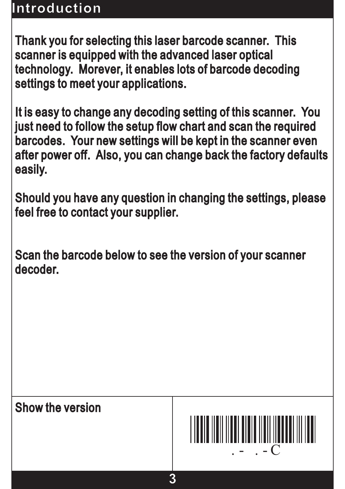## **Introduction**

Thank you for selecting this laser barcode scanner. This Thank you for selecting this laser barcode scanner. scanner is equipped with the advanced laser optical scanner is equipped with the advanced laser technology. Morever, it enables lots of barcode decoding settings to meet your applications. settings to meet your

It is easy to change any decoding setting of this scanner. You It is easy to change any decoding setting of this scanner. just need to follow the setup flow chart and scan the required just need to follow the setup flow chart and scan the barcodes. Your new settings will be kept in the scanner even barcodes. Your new settings will be kept in the scanner after power off. Also, you can change back the factory defaults after power off. Also, you can change back the factory easily.

Should you have any question in changing the settings, please Should you have any question in changing the settings, feel free to contact your supplier. feel free to contact your

Scan the barcode below to see the version of your scanner Scan the barcode below to see the version of your decoder.

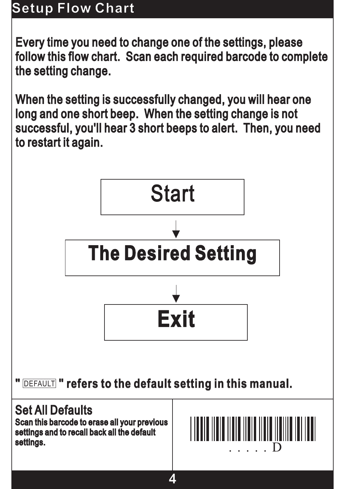# **Setup Flow Chart**

Every time you need to change one of the settings, please Every time you need to change one of the settings, follow this flow chart. Scan each required barcode to complete follow this flow chart. Scan each required barcode to the setting change. the setting

When the setting is successfully changed, you will hear one long and one short beep. When the setting change is not long and one short beep. When the setting change is successful, you'll hear 3 short beeps to alert. Then, you need successful, you'll hear 3 short beeps to alert. Then, you to restart it again. to restart it

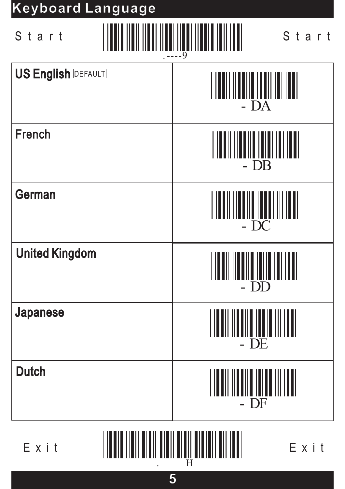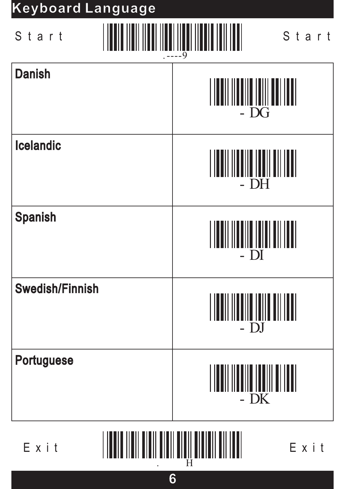# - DG Danish - DH - DI <u>||||||||||||||||||||||||||||</u> **Icelandic** Spanish Swedish/Finnish .----9 Start Start **Keyboard Language Keyboard**



Portuguese

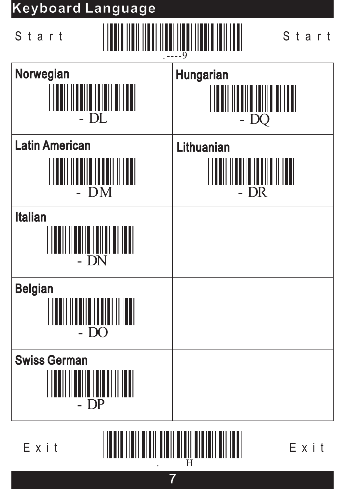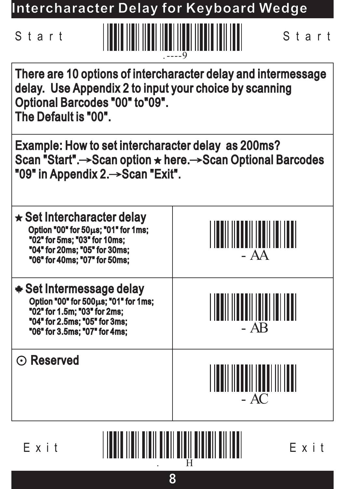**Intercharacter Delay for Keyboard Wedge Intercharacter Delay for Keyboard**



| There are 10 options of intercharacter delay and intermessage<br>delay. Use Appendix 2 to input your choice by scanning<br><b>Optional Barcodes "00" to"09".</b><br>The Default is "00". |        |  |  |
|------------------------------------------------------------------------------------------------------------------------------------------------------------------------------------------|--------|--|--|
| Example: How to set intercharacter delay as 200ms?<br>Scan "Start".→Scan option ★ here.→Scan Optional Barcodes<br>"09" in Appendix 2. Scan "Exit".                                       |        |  |  |
| $\star$ Set Intercharacter delay<br>Option "00" for 50µs; "01" for 1ms;<br>"02" for 5ms; "03" for 10ms;<br>"04" for 20ms; "05" for 30ms;<br>"06" for 40ms; "07" for 50ms;                | $- AA$ |  |  |
| * Set Intermessage delay<br>Option "00" for 500µs; "01" for 1ms;<br>"02" for 1.5m; "03" for 2ms;<br>"04" for 2.5ms; "05" for 3ms;<br>"06" for 3.5ms; "07" for 4ms;                       | $-$ AB |  |  |
| $\odot$ Reserved                                                                                                                                                                         | $- AC$ |  |  |

Exit Exit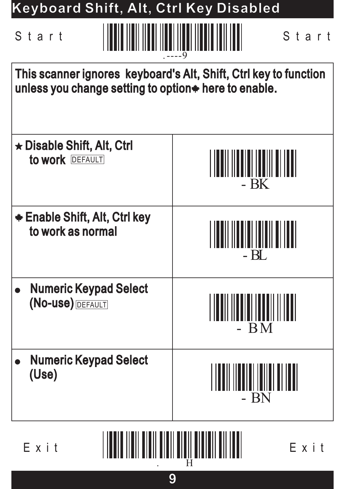| Keyboard Shift, Alt, Ctrl Key Disabled                                                                                    |                                            |  |  |  |
|---------------------------------------------------------------------------------------------------------------------------|--------------------------------------------|--|--|--|
| Start<br>Start                                                                                                            |                                            |  |  |  |
| This scanner ignores keyboard's Alt, Shift, Ctrl key to function<br>unless you change setting to option * here to enable. |                                            |  |  |  |
| $\star$ Disable Shift, Alt, Ctrl<br>to work DEFAULT<br>III IIIIIIIIIII<br>- BK                                            |                                            |  |  |  |
| <b>★ Enable Shift, Alt, Ctrl key</b><br>to work as normal                                                                 |                                            |  |  |  |
| <b>Numeric Keypad Select</b><br>(No-use) DEFAULT                                                                          | BM                                         |  |  |  |
| <b>Numeric Keypad Select</b><br>(Use)                                                                                     | <u> 11111 111111 111111 111111</u><br>- BN |  |  |  |
| ,,,,,,,,,,,,,,,,,,,,,,,,,,,,,,,,,,,                                                                                       |                                            |  |  |  |

Exit Exit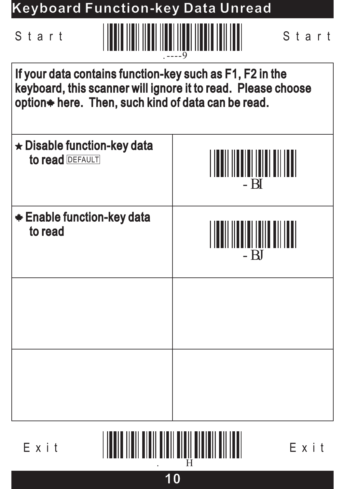| <b>Keyboard Function-key Data Unread</b>                                                                                                                                       |                |  |  |
|--------------------------------------------------------------------------------------------------------------------------------------------------------------------------------|----------------|--|--|
| <u>TENIN YA NENE DA NENE NENE NENE NENE NENE NEN</u><br>Start<br>Start<br>.9                                                                                                   |                |  |  |
| If your data contains function-key such as F1, F2 in the<br>keyboard, this scanner will ignore it to read. Please choose<br>option* here. Then, such kind of data can be read. |                |  |  |
| $\star$ Disable function-key data<br>to read <b>DEFAULT</b><br>- BI                                                                                                            |                |  |  |
| <b>★ Enable function-key data</b><br>to read                                                                                                                                   | TITI ITIIT TII |  |  |
|                                                                                                                                                                                |                |  |  |
|                                                                                                                                                                                |                |  |  |

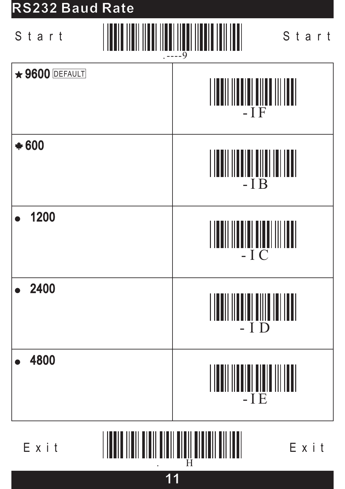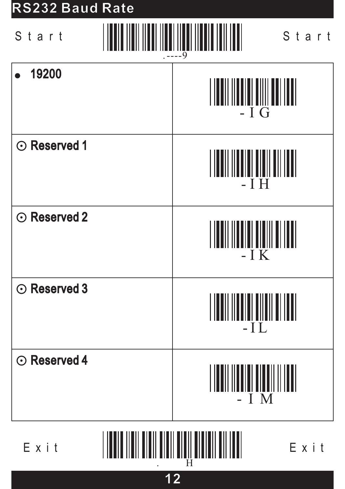

Exit Exit

**12**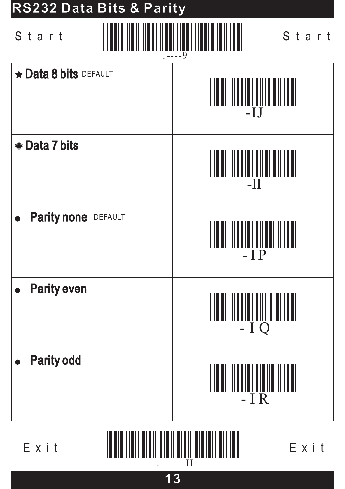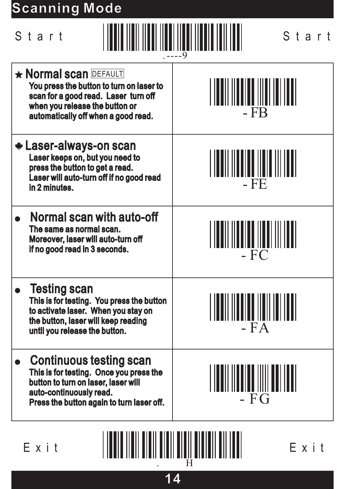# **Scanning Mode Scanning**

| Start                                                                                                                                                                                     | Start                                                     |  |
|-------------------------------------------------------------------------------------------------------------------------------------------------------------------------------------------|-----------------------------------------------------------|--|
| <b>* Normal scan DEFAULT</b><br>You press the button to turn on laser to<br>scan for a good read. Laser turn off<br>when you release the button or<br>automatically off when a good read. | $-FB$                                                     |  |
| <b>* Laser-always-on scan</b><br>Laser keeps on, but you need to<br>press the button to get a read.<br>Laser will auto-turn off if no good read<br>in 2 minutes.                          | - FE                                                      |  |
| <b>Normal scan with auto-off</b><br>The same as normal scan.<br>Moreover, laser will auto-turn off<br>if no good read in 3 seconds.                                                       | $-FC$                                                     |  |
| - 41<br>Testing scan<br>This is for testing. You press the button<br>to activate laser. When you stay on<br>the button, laser will keep reading<br>until you release the button.          | $-FA$                                                     |  |
| <b>Continuous testing scan</b><br>This is for testing. Once you press the<br>button to turn on laser, laser will<br>auto-continuously read.<br>Press the button again to turn laser off.  | I I <b>na</b> il II <b>naile</b> IIIII aal Itali<br>$-FG$ |  |
| <u>HILLININ HIILLININ ONI OHIILLININ ON</u><br>Exit<br>Exit                                                                                                                               |                                                           |  |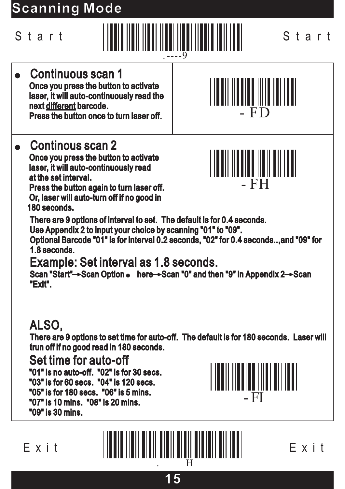# **Scanning Mode Scanning**



### Continuous scan 1 Continuous scan Once you press the button to activate Once you press the button to laser, it will auto-continuously read the laser, it will auto-continuously read next <u>different</u> barcode. Press the button once to turn laser off. Press the button once to turn laser

# Continous scan 2 Continous scan

Once you press the button to activate Once you press the button to laser, it will auto-continuously read laser, it will auto-continuously at the set interval. at the set

Press the button again to turn laser off. Press the button again to turn laser off.<br>Or, laser will auto-turn off if no good in 180 seconds. 180





There are 9 options of interval to set. The default is for 0.4 seconds. There are 9 options of interval to set. The default is for 0.4 Use Appendix 2 to input your choice by scanning "01" to "09". Appendix 2 to input your choice by scanning "01" to

Optional Barcode "01" is for interval 0.2 seconds, "02" for 0.4 seconds..,and "09" for Optional Barcode "01" for interval 0.2 seconds, "02" for 0.4 seconds..,and "09" 1.8 seconds. 1.8

Scan "Start"—>Scan Option  $\bullet \quad$  here—>Scan "0" and then "9" in Appendix 2—>Scan "Exit". Example: Set interval as 1.8 seconds. trun off if no good read in <sup>180</sup> Set interval as 1.8

# ALSO,

There are 9 options to set time for auto-off. The default is for 180 seconds. Laser will There are 9 options to set time for auto-off. The default is for 180 seconds. Laser trun off if no good read in 180 seconds.

### Set time for auto-off Set time for

"01" is no auto-off. "02" is for 30 secs. "01" is no auto-off. "02" is for 30 "03" is for 60 secs. "04" is 120 secs. "03" is for 60 secs. "04" is 120 secs.<br>"05" is for 180 secs. "06" is 5 mins. "07" is 10 mins. "08" is 20 mins. "07" is 10 mins. "08" is 20 "09" is 30 mins. "09" is 30



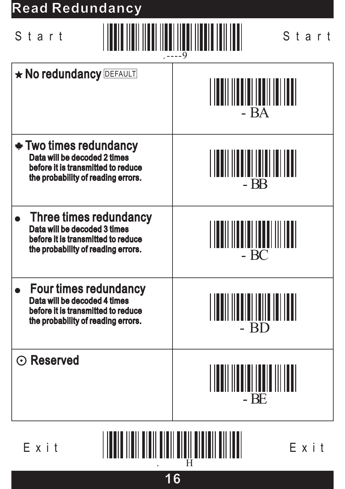# **Read Redundancy Read**

| Start |  |
|-------|--|
|-------|--|



|                                                                                                                                           | $---9$                                     |
|-------------------------------------------------------------------------------------------------------------------------------------------|--------------------------------------------|
| <b>* No redundancy DEFAULT</b>                                                                                                            | $-BA$                                      |
| <b>* Two times redundancy</b><br>Data will be decoded 2 times<br>before it is transmitted to reduce<br>the probability of reading errors. | <u>                      </u><br>$-BB$     |
| Three times redundancy<br>Data will be decoded 3 times<br>before it is transmitted to reduce<br>the probability of reading errors.        | <u>MANI MANI MANINI MI</u><br>$- BC$       |
| <b>Four times redundancy</b><br>Data will be decoded 4 times<br>before it is transmitted to reduce<br>the probability of reading errors.  | ,,,,,,,,,,,,,,,,,,,,,,,,,<br>- BD          |
| $\odot$ Reserved                                                                                                                          | <u>                         </u><br>$- BE$ |
|                                                                                                                                           |                                            |

Exit Exit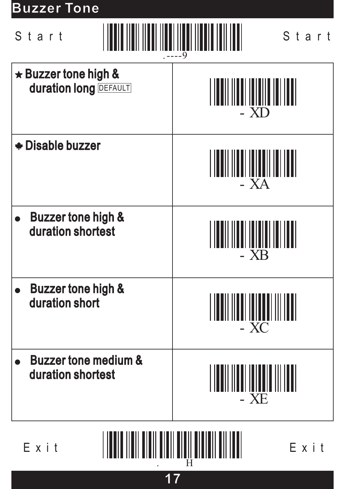# **Buzzer Tone Buzzer** Start Start .----9 Buzzer tone high & Buzzer tone high <u>|||||||||||||||||||||||||||</u> duration long **DEFAULT** - XD \* Disable buzzer ||**||||||||||||||||||||||||**|| • Buzzer tone high & duration shortest duration - XB • Buzzer tone high & duration short duration - XC • Buzzer tone medium & duration shortest duration - XE

. H

**17**

 $E \times i$  t  $\begin{bmatrix} 1 & 1 & 1 \\ 1 & 1 & 1 \\ 1 & 1 & 1 \\ 1 & 1 & 1 \\ 1 & 1 & 1 \\ 1 & 1 & 1 \\ 1 & 1 & 1 \\ 1 & 1 & 1 \\ 1 & 1 & 1 \\ 1 & 1 & 1 \\ 1 & 1 & 1 \\ 1 & 1 & 1 \\ 1 & 1 & 1 \\ 1 & 1 & 1 \\ 1 & 1 & 1 \\ 1 & 1 & 1 \\ 1 & 1 & 1 \\ 1 & 1 & 1 \\ 1 & 1 & 1 \\ 1 & 1 & 1 \\ 1 & 1 & 1 \\ 1 & 1 & 1 \\ 1 & 1 &$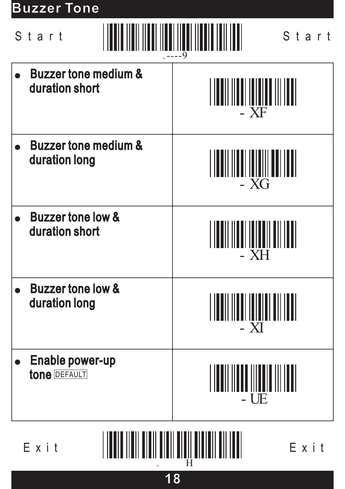# **Buzzer Tone**

|                                                             | Start                                             | Start                                  |
|-------------------------------------------------------------|---------------------------------------------------|----------------------------------------|
|                                                             | <b>Buzzer tone medium &amp;</b><br>duration short | - XF                                   |
|                                                             | <b>Buzzer tone medium &amp;</b><br>duration long  | - XG                                   |
|                                                             | <b>Buzzer tone low &amp;</b><br>duration short    | <b>XH</b>                              |
|                                                             | <b>Buzzer tone low &amp;</b><br>duration long     | $- XI$                                 |
|                                                             | <b>Enable power-up</b><br><b>tone DEFAULT</b>     | I IONII IIOOO IIIOOID III IDDI<br>- UE |
| <u> ANII ANII AAN ADALAH II ANII AN ANI</u><br>Exit<br>Exit |                                                   |                                        |

**18**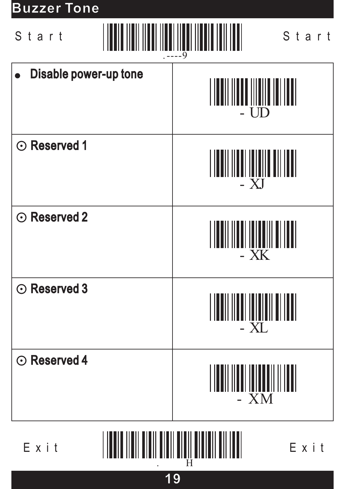# **Buzzer Tone Buzzer** Start Start .----9 Disable power-up tone <u>|||||||||||||||||</u> - UD ⊙ Reserved 1 - XJ ⊙ Reserved 2 - XK ⊙ Reserved 3 - XL ⊙ Reserved 4 <u> A MAANA A</u> - XM Exit Exit

. H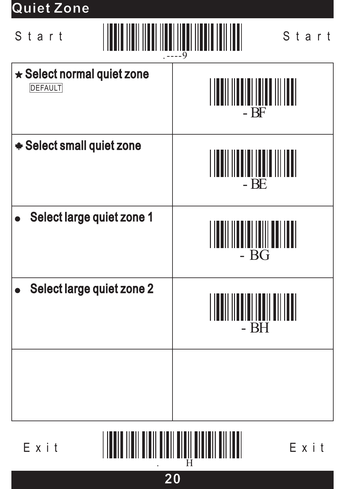## **Quiet Zone Quiet**

.----9 Start Start

 $\star$  Select normal quiet zone - BF DEFAULT \* Select small quiet zone - BE Select large quiet zone 1 - BG Select large quiet zone 2 WWW - BH

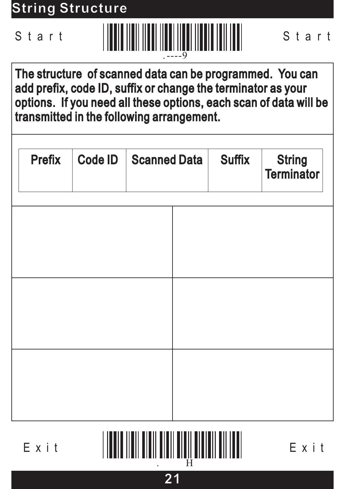**String Structure String**



The structure of scanned data can be programmed. You can The structure of scanned data can be programmed. You add prefix, code ID, suffix or change the terminator as your options. If you need all these options, each scan of data will be transmitted in the following arrangement. add prefix, code ID, suffix or change the terminator as your<br>options. If you need all these options, each scan of data will be<br>transmitted in the following arrangement.

| <b>Prefix</b> | <b>Code ID</b> | <b>Scanned Data</b> | <b>Suffix</b> | <b>String</b><br><b>Terminator</b> |
|---------------|----------------|---------------------|---------------|------------------------------------|
|               |                |                     |               |                                    |
|               |                |                     |               |                                    |
|               |                |                     |               |                                    |
|               |                |                     |               |                                    |
|               |                |                     |               |                                    |

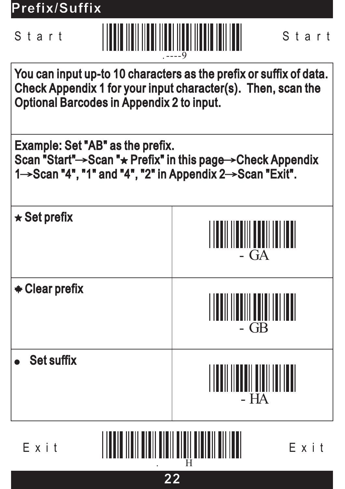**Prefix/Suffix**



You can input up-to 10 characters as the prefix or suffix of data. You can input up-to 10 characters as the prefix or suffix of Check Appendix 1 for your input character(s). Then, scan the Check Appendix 1 for your input character(s). Then, scan Optional Barcodes in Appendix 2 to input. Optional Barcodes in Appendix 2 to

Example: Set "AB" as the prefix. Scan "Start"->Scan " $\star$  Prefix" in this page->Check Appendix Scan "Start"→Scan "★ Prefix" in this page→Check Appendix<br>1→Scan "4", "1" and "4", "2" in Appendix 2→Scan "Exit".



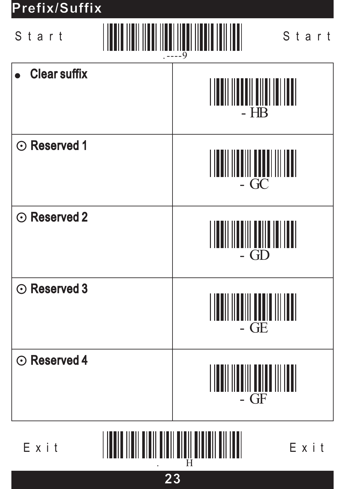# **Prefix/Suffix**Start Start .----9 **Clear suffix** - HB ⊙ Reserved 1 <u>MITIMININ</u>  $GC$ ⊙ Reserved 2 - GD ⊙ Reserved 3 <u>MITIM MAL</u> G<sub>E</sub> ⊙ Reserved 4 ||||||||||||||||||||||<br>|- GF

. H

**23**

Exit Exit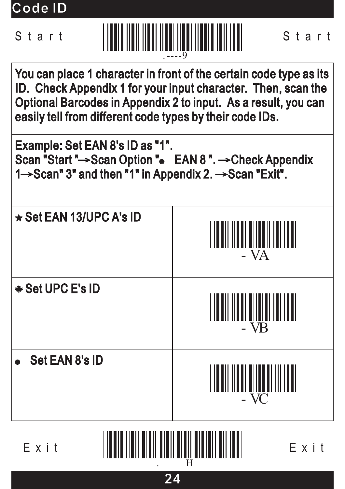**Code ID Code**



You can place 1 character in front of the certain code type as its You can place 1 character in front of the certain code type as ID. Check Appendix 1 for your input character. Then, scan the Optional Barcodes in Appendix 2 to input. As a result, you can easily tell from different code types by their code IDs. ID. Check Appendix 1 for your input character. Then, scan the<br>Optional Barcodes in Appendix 2 to input. As a result, you can<br>easily tell from different code types by their code IDs.

Example: Set EAN 8's ID as "1". Scan "Start "→Scan Option " $\bullet$  EAN 8 ". →Check Appendix Scan "Start "→Scan Option "● EAN 8 ". →Check Appendix<br>1→Scan" 3" and then "1" in Appendix 2. →Scan "Exit".



. H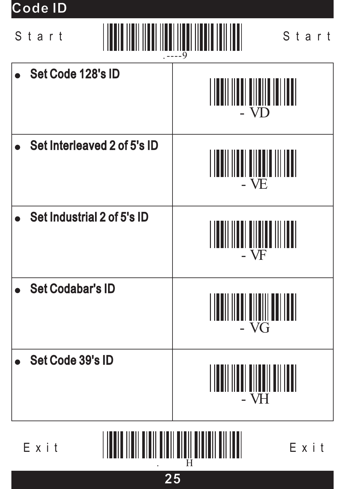**Code ID Code**



. H

**25**

 $E \times i$  t  $\begin{bmatrix} 1 & 1 & 1 \\ 1 & 1 & 1 \\ 1 & 1 & 1 \\ 1 & 1 & 1 \\ 1 & 1 & 1 \\ 1 & 1 & 1 \\ 1 & 1 & 1 \\ 1 & 1 & 1 \\ 1 & 1 & 1 \\ 1 & 1 & 1 \\ 1 & 1 & 1 \\ 1 & 1 & 1 \\ 1 & 1 & 1 \\ 1 & 1 & 1 \\ 1 & 1 & 1 \\ 1 & 1 & 1 \\ 1 & 1 & 1 \\ 1 & 1 & 1 \\ 1 & 1 & 1 \\ 1 & 1 & 1 \\ 1 & 1 & 1 \\ 1 & 1 & 1 \\ 1 & 1 &$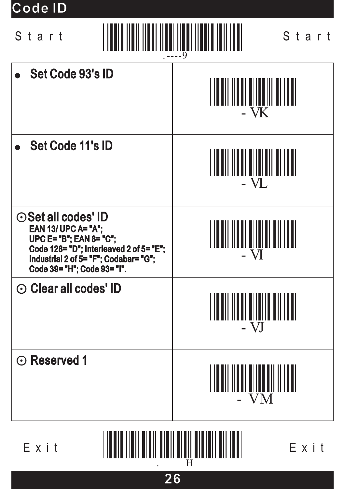**Code ID Code**



. H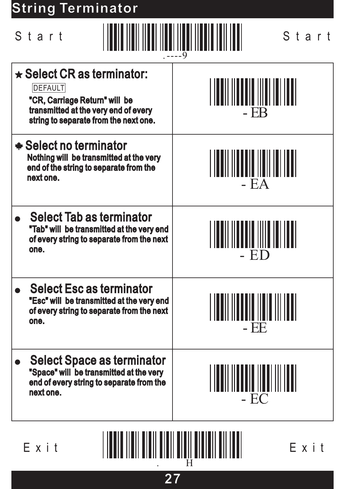# **String Terminator**

| Start                                                                                                                                                                | Start                                             |
|----------------------------------------------------------------------------------------------------------------------------------------------------------------------|---------------------------------------------------|
| $\star$ Select CR as terminator:<br><b>DEFAULT</b><br>"CR, Carriage Return" will be<br>transmitted at the very end of every<br>string to separate from the next one. | <u>                                  </u><br>- EB |
| <b>★ Select no terminator</b><br>Nothing will be transmitted at the very<br>end of the string to separate from the<br>next one.                                      | <u> 1111 1111 1111 1111 1111 1111</u><br>$-EA$    |
| <b>Select Tab as terminator</b><br>"Tab" will be transmitted at the very end<br>of every string to separate from the next<br>one.                                    | -ED                                               |
| <b>Select Esc as terminator</b><br>"Esc" will be transmitted at the very end<br>of every string to separate from the next<br>one.                                    | - EF                                              |
| <b>Select Space as terminator</b><br>"Space" will be transmitted at the very<br>end of every string to separate from the<br>next one.                                | A <b>iddii ildddig ilddi ill iddi</b><br>$- EC$   |

. H

**27**

Exit Exit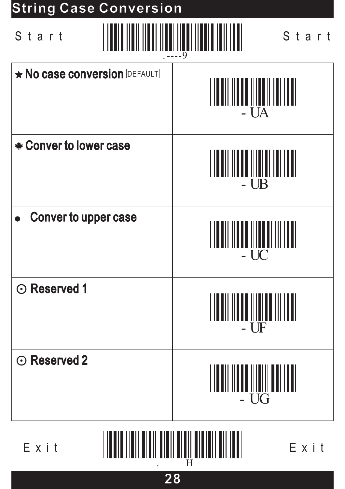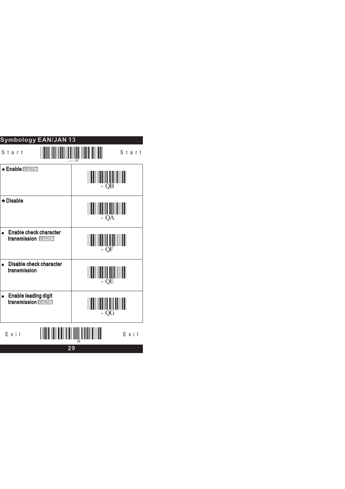| Symbology EAN/JAN 13                                                  |    |  |  |
|-----------------------------------------------------------------------|----|--|--|
| Start<br>Start                                                        |    |  |  |
| <b>Enable DEFAULT</b><br>QB                                           |    |  |  |
| +Disable<br>QA                                                        |    |  |  |
| <b>Enable check character</b><br>transmission <b>DEFAULT</b>          | QF |  |  |
| Disable check character<br>transmission<br>QE                         |    |  |  |
| <b>Enable leading digit</b><br>٠<br>transmission <b>DEFAULT</b><br>QG |    |  |  |
| Exit<br>Exit                                                          |    |  |  |
| 29                                                                    |    |  |  |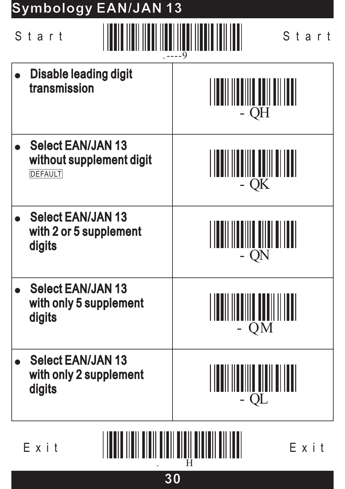| Symbology EAN/JAN 13                                                   |                                               |  |
|------------------------------------------------------------------------|-----------------------------------------------|--|
| Start<br>Start                                                         |                                               |  |
| <b>Disable leading digit</b><br>transmission                           | - QH                                          |  |
| <b>Select EAN/JAN 13</b><br>without supplement digit<br><b>DEFAULT</b> | QK                                            |  |
| <b>Select EAN/JAN 13</b><br>with 2 or 5 supplement<br>digits           | QN                                            |  |
| <b>Select EAN/JAN 13</b><br>with only 5 supplement<br>digits           | <u> I indii iinniin nooinii innii</u><br>- QM |  |
| <b>Select EAN/JAN 13</b><br>with only 2 supplement<br>digits           | QL                                            |  |
|                                                                        |                                               |  |

**30**

Exit Exit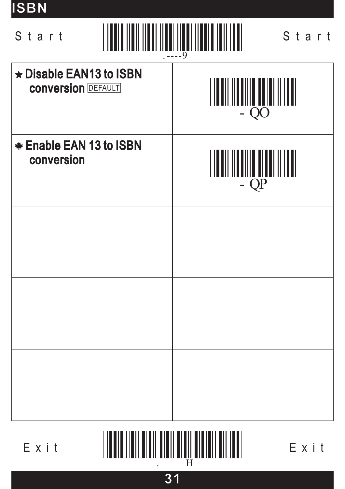| <b>ISBN</b>                                                                 |                            |  |
|-----------------------------------------------------------------------------|----------------------------|--|
| ANI IINNI IINNI IINNIN INII INNI<br>Start<br>Start<br><u>HIMININI</u><br>.9 |                            |  |
| ★ Disable EAN13 to ISBN<br><b>CONVERSION DEFAULT</b>                        | IIIIII IIIIIIIII<br>$- QO$ |  |
| <b>★ Enable EAN 13 to ISBN</b><br>conversion                                | $-QP$                      |  |
|                                                                             |                            |  |
|                                                                             |                            |  |
|                                                                             |                            |  |

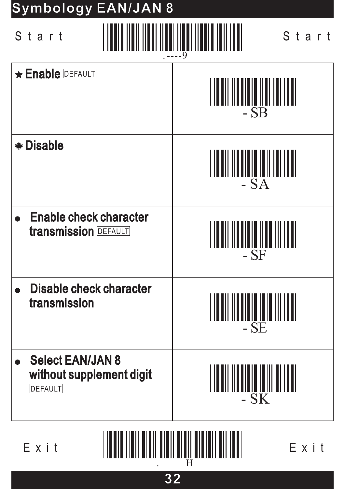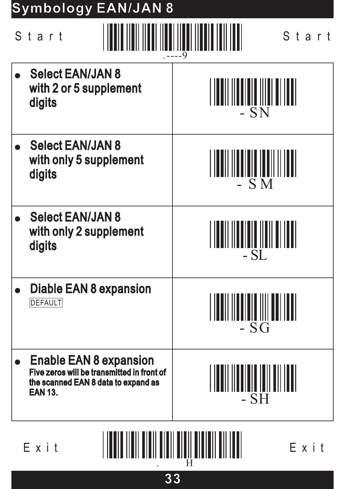| Symbology EAN/JAN 8                                                                                                                  |                                 |
|--------------------------------------------------------------------------------------------------------------------------------------|---------------------------------|
| Start<br>Start                                                                                                                       |                                 |
| <b>Select EAN/JAN 8</b><br>with 2 or 5 supplement<br>digits                                                                          | - SN                            |
| <b>Select EAN/JAN 8</b><br>with only 5 supplement<br>digits                                                                          | <b>SM</b>                       |
| <b>Select EAN/JAN 8</b><br>with only 2 supplement<br>digits                                                                          | - SL                            |
| Diable EAN 8 expansion<br><b>DEFAULT</b>                                                                                             | $-SG$                           |
| <b>Enable EAN 8 expansion</b><br>Five zeros will be transmitted in front of<br>the scanned EAN 8 data to expand as<br><b>EAN 13.</b> | IIIIIII IIIIIIIIIIIIII<br>$-SH$ |
| Exit<br>Exit                                                                                                                         |                                 |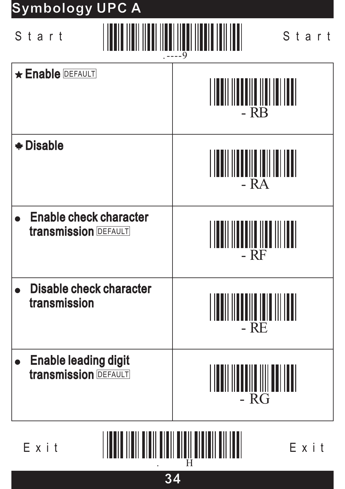# - RB **Enable DEFAULT** - RA - RF - RE - Disable • Enable check character transmission DEFAULT Disable check character Disable check transmission  $E \times i$  t  $\begin{bmatrix} 1 & 1 & 1 \\ 1 & 1 & 1 \\ 1 & 1 & 1 \\ 1 & 1 & 1 \\ 1 & 1 & 1 \\ 1 & 1 & 1 \\ 1 & 1 & 1 \\ 1 & 1 & 1 \\ 1 & 1 & 1 \\ 1 & 1 & 1 \\ 1 & 1 & 1 \\ 1 & 1 & 1 \\ 1 & 1 & 1 \\ 1 & 1 & 1 \\ 1 & 1 & 1 \\ 1 & 1 & 1 \\ 1 & 1 & 1 \\ 1 & 1 & 1 \\ 1 & 1 & 1 \\ 1 & 1 & 1 \\ 1 & 1 & 1 \\ 1 & 1 & 1 \\ 1 & 1 &$ .----9 Start Start **Symbology UPC A Symbology UPC** - RG Enable leading digit Enable leading transmission DEFAULT

. H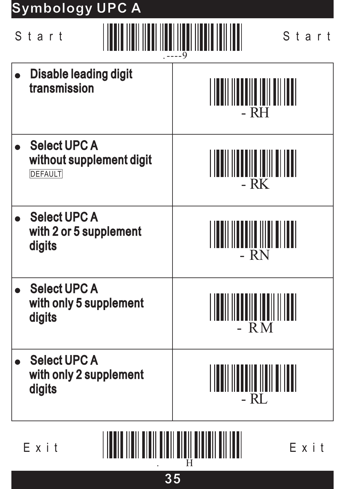# **Symbology UPC A Symbology UPC**

| Start<br>Start                                                    |                                                    |
|-------------------------------------------------------------------|----------------------------------------------------|
| <b>Disable leading digit</b><br>transmission                      | <u>MANDINININININININ</u><br>- RH                  |
| <b>Select UPC A</b><br>without supplement digit<br><b>DEFAULT</b> | III I IIIII I IIII IIIII III III<br>- RK           |
| <b>Select UPC A</b><br>with 2 or 5 supplement<br>digits           | - RN                                               |
| <b>Select UPC A</b><br>with only 5 supplement<br>digits           | - $RM$                                             |
| <b>Select UPC A</b><br>with only 2 supplement<br>digits           | <u>                                   </u><br>- RL |

Exit Exit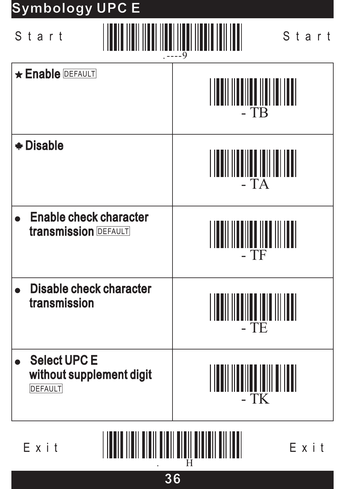# **Symbology UPC E Symbology UPC**



. H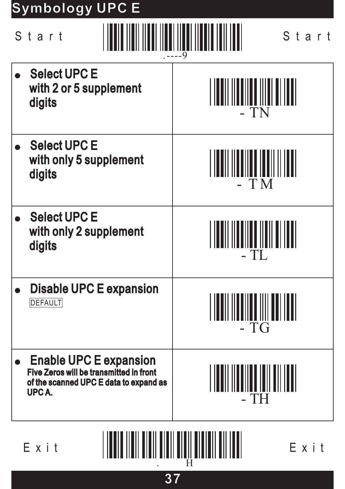# **Symbology UPC E Symbology UPC**

| Start<br>Start                                                                                                                     |                              |
|------------------------------------------------------------------------------------------------------------------------------------|------------------------------|
| <b>Select UPC E</b><br>with 2 or 5 supplement<br>digits                                                                            | - TN                         |
| <b>Select UPC E</b><br>with only 5 supplement<br>digits                                                                            | - TM                         |
| <b>Select UPC E</b><br>with only 2 supplement<br>digits                                                                            | TL                           |
| <b>Disable UPC E expansion</b><br><b>DEFAULT</b>                                                                                   | $- TG$                       |
| <b>Enable UPC E expansion</b><br><b>Five Zeros will be transmitted in front</b><br>of the scanned UPC E data to expand as<br>UPCA. | \U  UU   U          <br>- TH |
|                                                                                                                                    |                              |

. H

**37**

Exit Exit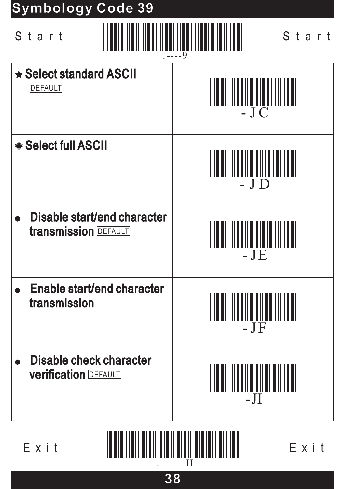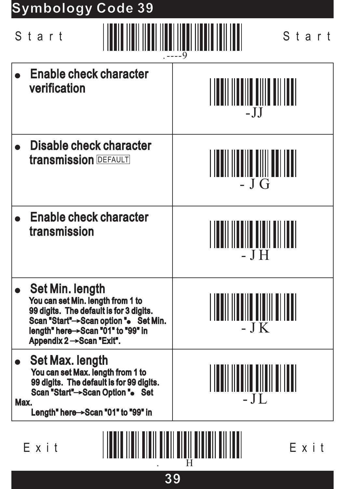# **Symbology Code 39 Symbology Code**

|              | Start                                                                                                                                                                                                                | Start                             |
|--------------|----------------------------------------------------------------------------------------------------------------------------------------------------------------------------------------------------------------------|-----------------------------------|
|              | <b>Enable check character</b><br>verification                                                                                                                                                                        | $-JJ$                             |
|              | Disable check character<br><b>transmission DEFAULT</b>                                                                                                                                                               | - J G                             |
|              | <b>Enable check character</b><br>transmission                                                                                                                                                                        |                                   |
|              | <b>Set Min. length</b><br>You can set Min. length from 1 to<br>99 digits. The default is for 3 digits.<br>Scan "Start" -> Scan option ". Set Min.<br>length" here >Scan "01" to "99" in<br>Appendix 2 → Scan "Exit". | $-JK$                             |
| Max.         | <b>Set Max. length</b><br>You can set Max. length from 1 to<br>99 digits. The default is for 99 digits.<br>Scan "Start"->Scan Option ". Set<br>Length" here $\rightarrow$ Scan "01" to "99" in                       | <u> ININ MINI II III</u><br>$-JL$ |
| Exit<br>Exit |                                                                                                                                                                                                                      |                                   |

**39**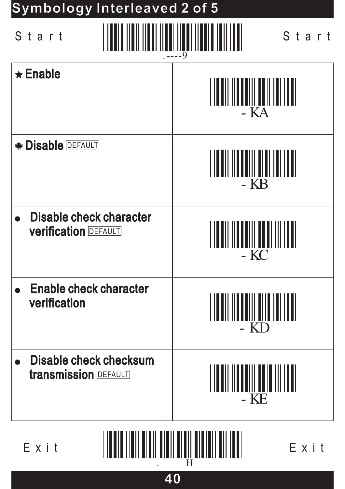# **Symbology Interleaved 2 of 5 Symbology Interleaved 2 of**



| $-9$                                                          |                                                        |
|---------------------------------------------------------------|--------------------------------------------------------|
| $\star$ Enable                                                | <b>TALITY AND ANN AN THE TELEVISION</b><br>- KA        |
| <b>* Disable DEFAULT</b>                                      | <u> INII INITII TITI INITI</u><br>- KB                 |
| <b>Disable check character</b><br><b>Verification DEFAULT</b> | N IN DI LITTE DI LITTE DE LA LITTE DE LA SALA<br>$-KC$ |
| <b>Enable check character</b><br>verification                 | <u> IN AN IN THE THE IN THE T</u><br>- KD              |
| <b>Disable check checksum</b><br><b>transmission DEFAULT</b>  | <u>                         </u><br>- KE               |
|                                                               |                                                        |

. H

**40**

Exit Exit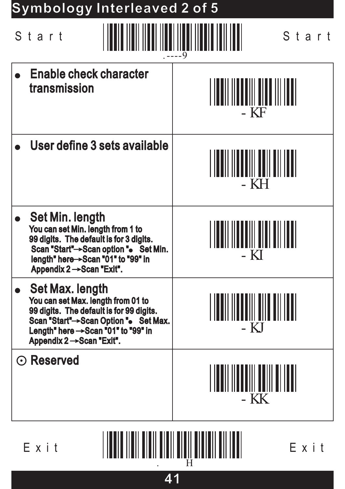

**41**

⊙ Reserved

- KK

 $E \times i$  t  $\begin{bmatrix} 1 & 1 & 1 \\ 1 & 1 & 1 \\ 1 & 1 & 1 \\ 1 & 1 & 1 \\ 1 & 1 & 1 \\ 1 & 1 & 1 \\ 1 & 1 & 1 \\ 1 & 1 & 1 \\ 1 & 1 & 1 \\ 1 & 1 & 1 \\ 1 & 1 & 1 \\ 1 & 1 & 1 \\ 1 & 1 & 1 \\ 1 & 1 & 1 \\ 1 & 1 & 1 \\ 1 & 1 & 1 \\ 1 & 1 & 1 \\ 1 & 1 & 1 \\ 1 & 1 & 1 \\ 1 & 1 & 1 \\ 1 & 1 & 1 \\ 1 & 1 & 1 \\ 1 & 1 &$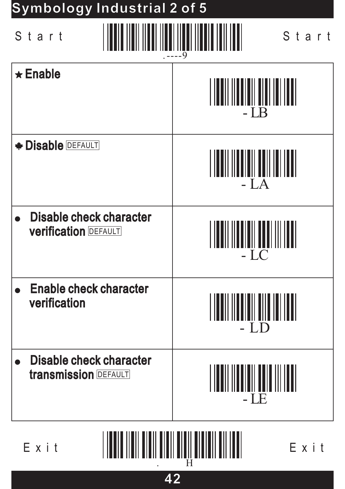# **Symbology Industrial 2 of 5 Symbology Industrial 2 of**



. H

**42**

 $E \times i$  t  $\begin{bmatrix} 1 & 1 & 1 \\ 1 & 1 & 1 \\ 1 & 1 & 1 \\ 1 & 1 & 1 \\ 1 & 1 & 1 \\ 1 & 1 & 1 \\ 1 & 1 & 1 \\ 1 & 1 & 1 \\ 1 & 1 & 1 \\ 1 & 1 & 1 \\ 1 & 1 & 1 \\ 1 & 1 & 1 \\ 1 & 1 & 1 \\ 1 & 1 & 1 \\ 1 & 1 & 1 \\ 1 & 1 & 1 \\ 1 & 1 & 1 \\ 1 & 1 & 1 \\ 1 & 1 & 1 \\ 1 & 1 & 1 \\ 1 & 1 & 1 \\ 1 & 1 & 1 \\ 1 & 1 &$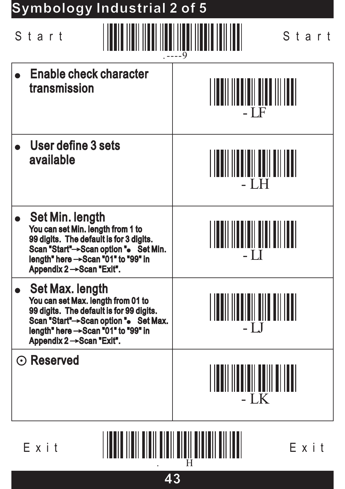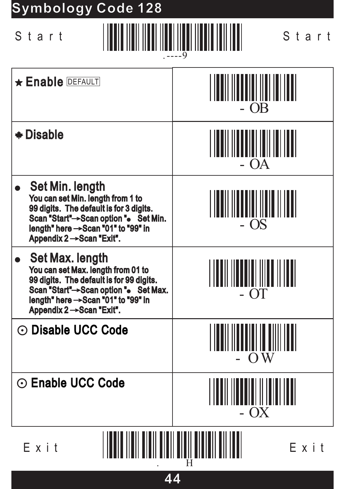# **Symbology Code 128**



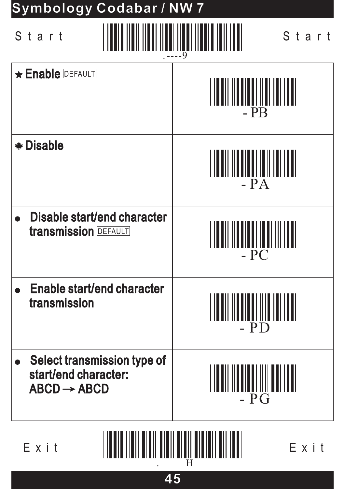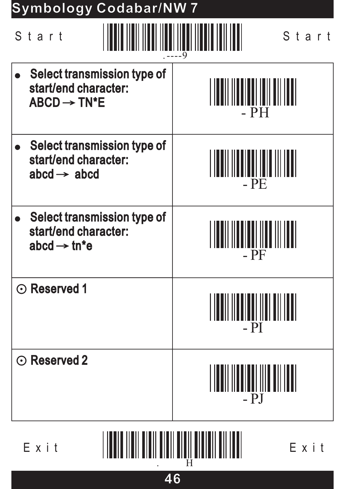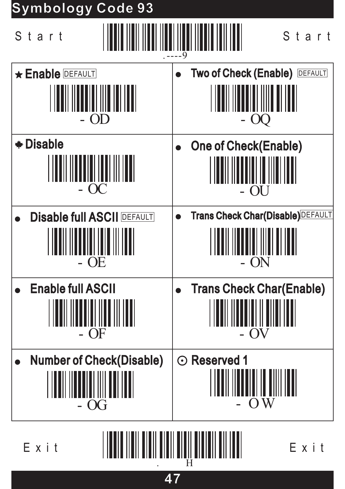